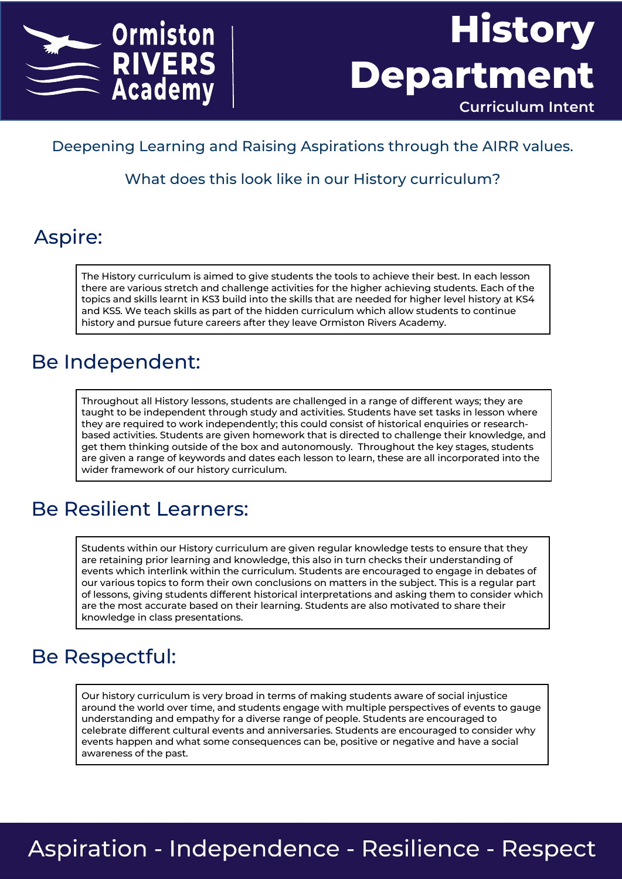



#### Deepening Learning and Raising Aspirations through the AIRR values.

What does this look like in our History curriculum?

#### Aspire:

The History curriculum is aimed to give students the tools to achieve their best. In each lesson there are various stretch and challenge activities for the higher achieving students. Each of the topics and skills learnt in KS3 build into the skills that are needed for higher level history at KS4 and KS5. We teach skills as part of the hidden curriculum which allow students to continue history and pursue future careers after they leave Ormiston Rivers Academy.

#### Be Independent:

Throughout all History lessons, students are challenged in a range of different ways; they are taught to be independent through study and activities. Students have set tasks in lesson where they are required to work independently; this could consist of historical enquiries or researchbased activities. Students are given homework that is directed to challenge their knowledge, and get them thinking outside of the box and autonomously. Throughout the key stages, students are given a range of keywords and dates each lesson to learn, these are all incorporated into the wider framework of our history curriculum.

### Be Resilient Learners:

Students within our History curriculum are given regular knowledge tests to ensure that they are retaining prior learning and knowledge, this also in turn checks their understanding of events which interlink within the curriculum. Students are encouraged to engage in debates of our various topics to form their own conclusions on matters in the subject. This is a regular part of lessons, giving students different historical interpretations and asking them to consider which are the most accurate based on their learning. Students are also motivated to share their knowledge in class presentations.

#### Be Respectful:

Our history curriculum is very broad in terms of making students aware of social injustice around the world over time, and students engage with multiple perspectives of events to gauge understanding and empathy for a diverse range of people. Students are encouraged to celebrate different cultural events and anniversaries. Students are encouraged to consider why events happen and what some consequences can be, positive or negative and have a social awareness of the past.

## **Aspiration - Independence - Resilience - Respect**